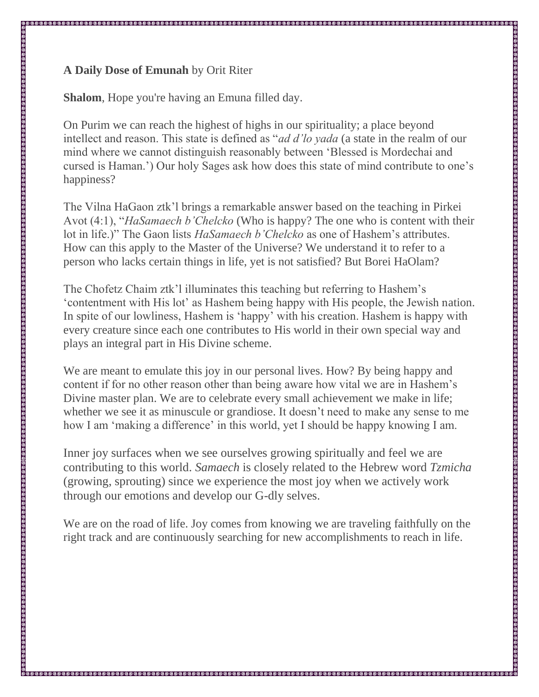## **A Daily Dose of Emunah** by Orit Riter

**Shalom**, Hope you're having an Emuna filled day.

On Purim we can reach the highest of highs in our spirituality; a place beyond intellect and reason. This state is defined as "*ad d'lo yada* (a state in the realm of our mind where we cannot distinguish reasonably between 'Blessed is Mordechai and cursed is Haman.') Our holy Sages ask how does this state of mind contribute to one's happiness?

The Vilna HaGaon ztk'l brings a remarkable answer based on the teaching in Pirkei Avot (4:1), "*HaSamaech b'Chelcko* (Who is happy? The one who is content with their lot in life.)" The Gaon lists *HaSamaech b'Chelcko* as one of Hashem's attributes. How can this apply to the Master of the Universe? We understand it to refer to a person who lacks certain things in life, yet is not satisfied? But Borei HaOlam?

The Chofetz Chaim ztk'l illuminates this teaching but referring to Hashem's 'contentment with His lot' as Hashem being happy with His people, the Jewish nation. In spite of our lowliness, Hashem is 'happy' with his creation. Hashem is happy with every creature since each one contributes to His world in their own special way and plays an integral part in His Divine scheme.

We are meant to emulate this joy in our personal lives. How? By being happy and content if for no other reason other than being aware how vital we are in Hashem's Divine master plan. We are to celebrate every small achievement we make in life; whether we see it as minuscule or grandiose. It doesn't need to make any sense to me how I am 'making a difference' in this world, yet I should be happy knowing I am.

Inner joy surfaces when we see ourselves growing spiritually and feel we are contributing to this world. *Samaech* is closely related to the Hebrew word *Tzmicha* (growing, sprouting) since we experience the most joy when we actively work through our emotions and develop our G-dly selves.

We are on the road of life. Joy comes from knowing we are traveling faithfully on the right track and are continuously searching for new accomplishments to reach in life.